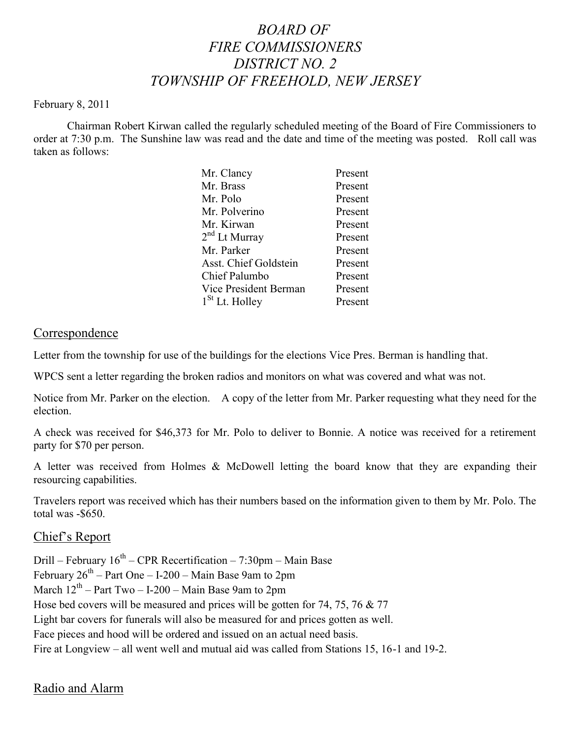# *BOARD OF FIRE COMMISSIONERS DISTRICT NO. 2 TOWNSHIP OF FREEHOLD, NEW JERSEY*

#### February 8, 2011

Chairman Robert Kirwan called the regularly scheduled meeting of the Board of Fire Commissioners to order at 7:30 p.m. The Sunshine law was read and the date and time of the meeting was posted. Roll call was taken as follows:

| Mr. Clancy            | Present |
|-----------------------|---------|
| Mr. Brass             | Present |
| Mr. Polo              | Present |
| Mr. Polverino         | Present |
| Mr. Kirwan            | Present |
| $2nd$ Lt Murray       | Present |
| Mr. Parker            | Present |
| Asst. Chief Goldstein | Present |
| Chief Palumbo         | Present |
| Vice President Berman | Present |
| $1St$ Lt. Holley      | Present |
|                       |         |

#### Correspondence

Letter from the township for use of the buildings for the elections Vice Pres. Berman is handling that.

WPCS sent a letter regarding the broken radios and monitors on what was covered and what was not.

Notice from Mr. Parker on the election. A copy of the letter from Mr. Parker requesting what they need for the election.

A check was received for \$46,373 for Mr. Polo to deliver to Bonnie. A notice was received for a retirement party for \$70 per person.

A letter was received from Holmes & McDowell letting the board know that they are expanding their resourcing capabilities.

Travelers report was received which has their numbers based on the information given to them by Mr. Polo. The total was -\$650.

## Chief's Report

Drill – February  $16^{th}$  – CPR Recertification – 7:30pm – Main Base February  $26^{th}$  – Part One – I-200 – Main Base 9am to 2pm March  $12^{th}$  – Part Two – I-200 – Main Base 9am to 2pm Hose bed covers will be measured and prices will be gotten for 74, 75, 76 & 77 Light bar covers for funerals will also be measured for and prices gotten as well. Face pieces and hood will be ordered and issued on an actual need basis. Fire at Longview – all went well and mutual aid was called from Stations 15, 16-1 and 19-2.

# Radio and Alarm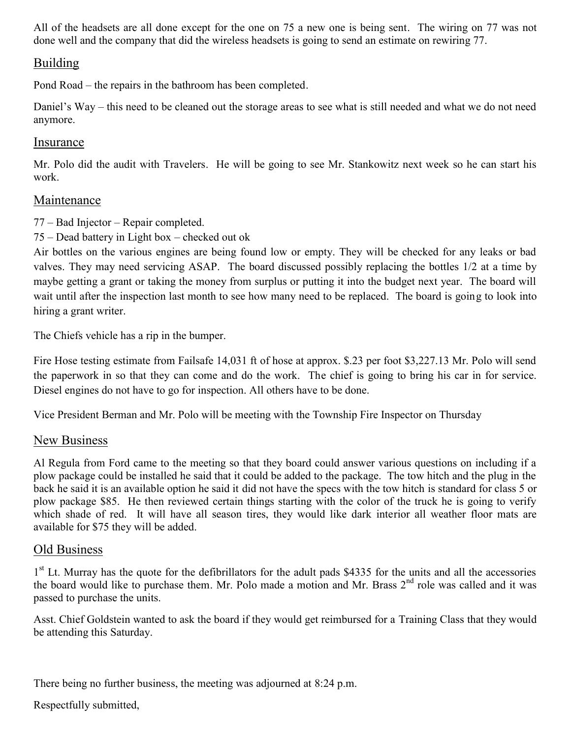All of the headsets are all done except for the one on 75 a new one is being sent. The wiring on 77 was not done well and the company that did the wireless headsets is going to send an estimate on rewiring 77.

# Building

Pond Road – the repairs in the bathroom has been completed.

Daniel's Way – this need to be cleaned out the storage areas to see what is still needed and what we do not need anymore.

#### Insurance

Mr. Polo did the audit with Travelers. He will be going to see Mr. Stankowitz next week so he can start his work.

#### Maintenance

77 – Bad Injector – Repair completed.

75 – Dead battery in Light box – checked out ok

Air bottles on the various engines are being found low or empty. They will be checked for any leaks or bad valves. They may need servicing ASAP. The board discussed possibly replacing the bottles 1/2 at a time by maybe getting a grant or taking the money from surplus or putting it into the budget next year. The board will wait until after the inspection last month to see how many need to be replaced. The board is going to look into hiring a grant writer.

The Chiefs vehicle has a rip in the bumper.

Fire Hose testing estimate from Failsafe 14,031 ft of hose at approx. \$.23 per foot \$3,227.13 Mr. Polo will send the paperwork in so that they can come and do the work. The chief is going to bring his car in for service. Diesel engines do not have to go for inspection. All others have to be done.

Vice President Berman and Mr. Polo will be meeting with the Township Fire Inspector on Thursday

## New Business

Al Regula from Ford came to the meeting so that they board could answer various questions on including if a plow package could be installed he said that it could be added to the package. The tow hitch and the plug in the back he said it is an available option he said it did not have the specs with the tow hitch is standard for class 5 or plow package \$85. He then reviewed certain things starting with the color of the truck he is going to verify which shade of red. It will have all season tires, they would like dark interior all weather floor mats are available for \$75 they will be added.

## Old Business

1<sup>st</sup> Lt. Murray has the quote for the defibrillators for the adult pads \$4335 for the units and all the accessories the board would like to purchase them. Mr. Polo made a motion and Mr. Brass  $2<sup>nd</sup>$  role was called and it was passed to purchase the units.

Asst. Chief Goldstein wanted to ask the board if they would get reimbursed for a Training Class that they would be attending this Saturday.

There being no further business, the meeting was adjourned at 8:24 p.m.

Respectfully submitted,